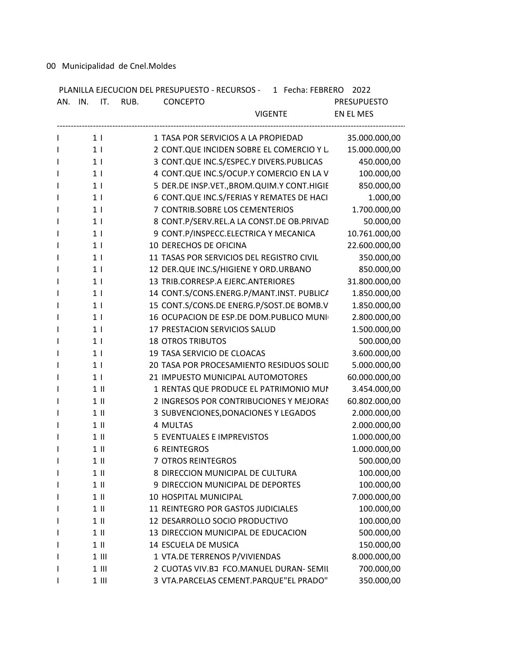00 Municipalidad de Cnel.Moldes

| AN. IN. IT. RUB. | PLANILLA EJECUCION DEL PRESUPUESTO - RECURSOS - 1 Fecha: FEBRERO 2022<br><b>CONCEPTO</b> | <b>PRESUPUESTO</b> |
|------------------|------------------------------------------------------------------------------------------|--------------------|
|                  | <b>VIGENTE</b>                                                                           | EN EL MES          |
| 1 <sub>1</sub>   | 1 TASA POR SERVICIOS A LA PROPIEDAD                                                      | 35.000.000,00      |
| 1 <sub>1</sub>   | 2 CONT.QUE INCIDEN SOBRE EL COMERCIO Y L                                                 | 15.000.000,00      |
| 1 <sup>1</sup>   | 3 CONT.QUE INC.S/ESPEC.Y DIVERS.PUBLICAS                                                 | 450.000,00         |
| 1 <sub>1</sub>   | 4 CONT.QUE INC.S/OCUP.Y COMERCIO EN LA V                                                 | 100.000,00         |
| 1 <sub>1</sub>   | 5 DER.DE INSP.VET., BROM. QUIM. Y CONT. HIGIE                                            | 850.000,00         |
| 1 <sub>1</sub>   | 6 CONT.QUE INC.S/FERIAS Y REMATES DE HACI                                                | 1.000,00           |
| 1 <sub>1</sub>   | 7 CONTRIB.SOBRE LOS CEMENTERIOS                                                          | 1.700.000,00       |
| 1 <sup>1</sup>   | 8 CONT.P/SERV.REL.A LA CONST.DE OB.PRIVAD                                                | 50.000,00          |
| 1 <sub>1</sub>   | 9 CONT.P/INSPECC.ELECTRICA Y MECANICA                                                    | 10.761.000,00      |
| 1 <sub>1</sub>   | 10 DERECHOS DE OFICINA                                                                   | 22.600.000,00      |
| 1 <sub>1</sub>   | 11 TASAS POR SERVICIOS DEL REGISTRO CIVIL                                                | 350.000,00         |
| 1 <sup>1</sup>   | 12 DER.QUE INC.S/HIGIENE Y ORD.URBANO                                                    | 850.000,00         |
| 1 <sup>1</sup>   | 13 TRIB.CORRESP.A EJERC.ANTERIORES                                                       | 31.800.000,00      |
| 1 <sub>1</sub>   | 14 CONT.S/CONS.ENERG.P/MANT.INST. PUBLICA                                                | 1.850.000,00       |
| 1 <sub>1</sub>   | 15 CONT.S/CONS.DE ENERG.P/SOST.DE BOMB.V                                                 | 1.850.000,00       |
| 1 <sub>1</sub>   | 16 OCUPACION DE ESP.DE DOM.PUBLICO MUNI                                                  | 2.800.000,00       |
| 1 <sub>1</sub>   | 17 PRESTACION SERVICIOS SALUD                                                            | 1.500.000,00       |
| 1 <sub>1</sub>   | <b>18 OTROS TRIBUTOS</b>                                                                 | 500.000,00         |
| 1 <sub>1</sub>   | 19 TASA SERVICIO DE CLOACAS                                                              | 3.600.000,00       |
| 1 <sup>1</sup>   | 20 TASA POR PROCESAMIENTO RESIDUOS SOLID                                                 | 5.000.000,00       |
| 1 <sub>1</sub>   | 21 IMPUESTO MUNICIPAL AUTOMOTORES                                                        | 60.000.000,00      |
| $1$ II           | 1 RENTAS QUE PRODUCE EL PATRIMONIO MUN                                                   | 3.454.000,00       |
| $1 \parallel$    | 2 INGRESOS POR CONTRIBUCIONES Y MEJORAS                                                  | 60.802.000,00      |
| $1$ II           | 3 SUBVENCIONES, DONACIONES Y LEGADOS                                                     | 2.000.000,00       |
| $1$ II           | 4 MULTAS                                                                                 | 2.000.000,00       |
| $1 \parallel$    | 5 EVENTUALES E IMPREVISTOS                                                               | 1.000.000,00       |
| $1$ II           | <b>6 REINTEGROS</b>                                                                      | 1.000.000,00       |
| $1$ II           | 7 OTROS REINTEGROS                                                                       | 500.000,00         |
| $1$ II           | 8 DIRECCION MUNICIPAL DE CULTURA                                                         | 100.000,00         |
| $1$ II           | 9 DIRECCION MUNICIPAL DE DEPORTES                                                        | 100.000,00         |
| $1$ II           | 10 HOSPITAL MUNICIPAL                                                                    | 7.000.000,00       |
| $1$ II           | 11 REINTEGRO POR GASTOS JUDICIALES                                                       | 100.000,00         |
| $1$ II           | 12 DESARROLLO SOCIO PRODUCTIVO                                                           | 100.000,00         |
| $1$ II           | 13 DIRECCION MUNICIPAL DE EDUCACION                                                      | 500.000,00         |
| $1$ II           | 14 ESCUELA DE MUSICA                                                                     | 150.000,00         |
| $1$ III          | 1 VTA.DE TERRENOS P/VIVIENDAS                                                            | 8.000.000,00       |
| $1$ III          | 2 CUOTAS VIV.BJ FCO.MANUEL DURAN- SEMIL                                                  | 700.000,00         |
| $1$ III          | 3 VTA.PARCELAS CEMENT.PARQUE"EL PRADO"                                                   | 350.000,00         |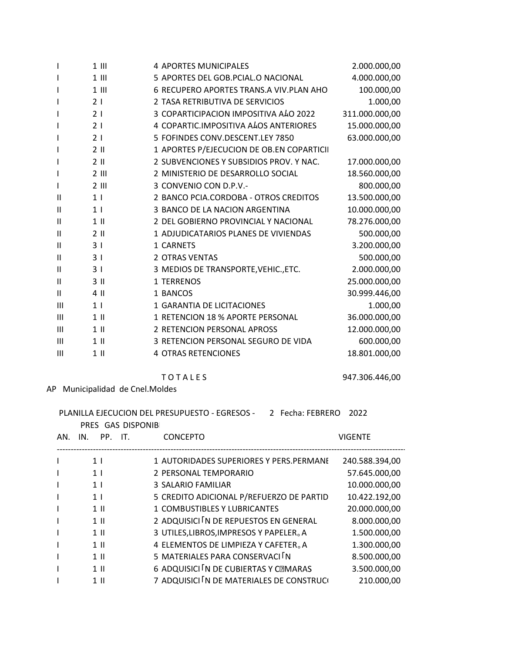|                            | $1$ III         | 4 APORTES MUNICIPALES                     | 2.000.000,00   |
|----------------------------|-----------------|-------------------------------------------|----------------|
| ı                          | $1$ III         | 5 APORTES DEL GOB.PCIAL.O NACIONAL        | 4.000.000,00   |
| I                          | $1$ III         | 6 RECUPERO APORTES TRANS.A VIV.PLAN AHO   | 100.000,00     |
| ı                          | 2 <sub>1</sub>  | 2 TASA RETRIBUTIVA DE SERVICIOS           | 1.000,00       |
|                            | 21              | 3 COPARTICIPACION IMPOSITIVA ALO 2022     | 311.000.000,00 |
| I                          | 21              | 4 COPARTIC.IMPOSITIVA ALOS ANTERIORES     | 15.000.000,00  |
| ı                          | 21              | 5 FOFINDES CONV.DESCENT.LEY 7850          | 63.000.000,00  |
|                            | $2 \parallel$   | 1 APORTES P/EJECUCION DE OB.EN COPARTICII |                |
| ı                          | $2$ II          | 2 SUBVENCIONES Y SUBSIDIOS PROV. Y NAC.   | 17.000.000,00  |
| I                          | $2$ III         | 2 MINISTERIO DE DESARROLLO SOCIAL         | 18.560.000,00  |
| ı                          | $2$ III         | 3 CONVENIO CON D.P.V.-                    | 800.000,00     |
| Ш                          | 1 <sub>1</sub>  | 2 BANCO PCIA.CORDOBA - OTROS CREDITOS     | 13.500.000,00  |
| Ш                          | 1 <sub>1</sub>  | 3 BANCO DE LA NACION ARGENTINA            | 10.000.000,00  |
| Ш                          | $1$ II          | 2 DEL GOBIERNO PROVINCIAL Y NACIONAL      | 78.276.000,00  |
| Ш                          | $2 \parallel$   | 1 ADJUDICATARIOS PLANES DE VIVIENDAS      | 500.000,00     |
| Ш                          | 31              | 1 CARNETS                                 | 3.200.000,00   |
| Ш                          | 3 <sub>1</sub>  | <b>2 OTRAS VENTAS</b>                     | 500.000,00     |
| Ш                          | 3 <sub>1</sub>  | 3 MEDIOS DE TRANSPORTE, VEHIC., ETC.      | 2.000.000,00   |
| $\ensuremath{\mathsf{II}}$ | 3 <sub>II</sub> | 1 TERRENOS                                | 25.000.000,00  |
| Ш                          | 4 II            | 1 BANCOS                                  | 30.999.446,00  |
| $\mathsf{III}$             | 1 <sup>1</sup>  | 1 GARANTIA DE LICITACIONES                | 1.000,00       |
| $\mathsf{III}$             | $1$ II          | 1 RETENCION 18 % APORTE PERSONAL          | 36.000.000,00  |
| $\mathbf{III}$             | $1$ II          | 2 RETENCION PERSONAL APROSS               | 12.000.000,00  |
| $\mathbf{III}$             | $1$ II          | 3 RETENCION PERSONAL SEGURO DE VIDA       | 600.000,00     |
| $\mathsf{III}$             | $1$ II          | <b>4 OTRAS RETENCIONES</b>                | 18.801.000,00  |

**TOTALES** 

AP Municipalidad de Cnel.Moldes

| PLANILLA EJECUCION DEL PRESUPUESTO - EGRESOS -<br>2 Fecha: FEBRERO<br>2022<br>PRES GAS DISPONIB |                |                                           |                |  |  |  |
|-------------------------------------------------------------------------------------------------|----------------|-------------------------------------------|----------------|--|--|--|
| AN.                                                                                             | PP. IT.<br>IN. | <b>CONCEPTO</b>                           | <b>VIGENTE</b> |  |  |  |
|                                                                                                 | 1 <sup>1</sup> | 1 AUTORIDADES SUPERIORES Y PERS.PERMANE   | 240.588.394,00 |  |  |  |
|                                                                                                 | 1 <sup>1</sup> | 2 PERSONAL TEMPORARIO                     | 57.645.000,00  |  |  |  |
|                                                                                                 | 1 <sup>1</sup> | 3 SALARIO FAMILIAR                        | 10.000.000,00  |  |  |  |
|                                                                                                 | 1 <sup>1</sup> | 5 CREDITO ADICIONAL P/REFUERZO DE PARTID  | 10.422.192,00  |  |  |  |
|                                                                                                 | $1 \parallel$  | 1 COMBUSTIBLES Y LUBRICANTES              | 20.000.000,00  |  |  |  |
|                                                                                                 | $1$ II         | 2 ADQUISICI IN DE REPUESTOS EN GENERAL    | 8.000.000,00   |  |  |  |
|                                                                                                 | $1 \parallel$  | 3 UTILES, LIBROS, IMPRESOS Y PAPELER. A   | 1.500.000,00   |  |  |  |
|                                                                                                 | $1 \parallel$  | 4 ELEMENTOS DE LIMPIEZA Y CAFETER. A      | 1.300.000,00   |  |  |  |
|                                                                                                 | $1 \parallel$  | 5 MATERIALES PARA CONSERVACI N            | 8.500.000,00   |  |  |  |
|                                                                                                 | $1$ II         | 6 ADQUISICI IN DE CUBIERTAS Y CEMARAS     | 3.500.000,00   |  |  |  |
|                                                                                                 | $1 \parallel$  | 7 ADQUISICI IN DE MATERIALES DE CONSTRUCI | 210.000,00     |  |  |  |

947.306.446,00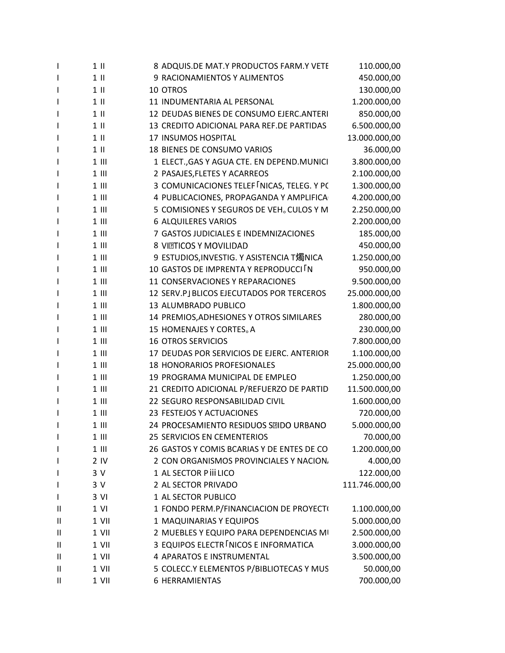| $\mathbf{I}$ | $1$ II          | 8 ADQUIS.DE MAT.Y PRODUCTOS FARM.Y VETE              | 110.000,00     |
|--------------|-----------------|------------------------------------------------------|----------------|
| $\mathbf{I}$ | $1$ II          | 9 RACIONAMIENTOS Y ALIMENTOS                         | 450.000,00     |
| $\mathbf{I}$ | $1$ II          | 10 OTROS                                             | 130.000,00     |
| $\mathbf{I}$ | $1$ II          | 11 INDUMENTARIA AL PERSONAL                          | 1.200.000,00   |
| $\mathbf{I}$ | $1$ II          | 12 DEUDAS BIENES DE CONSUMO EJERC.ANTERI             | 850.000,00     |
| $\mathbf{I}$ | $1$ II          | 13 CREDITO ADICIONAL PARA REF.DE PARTIDAS            | 6.500.000,00   |
| J.           | $1$ II          | 17 INSUMOS HOSPITAL                                  | 13.000.000,00  |
| $\mathbf{I}$ | $1$ II          | 18 BIENES DE CONSUMO VARIOS                          | 36.000,00      |
| I            | $1$ III         | 1 ELECT., GAS Y AGUA CTE. EN DEPEND. MUNICI          | 3.800.000,00   |
| J.           | $1$ III         | 2 PASAJES, FLETES Y ACARREOS                         | 2.100.000,00   |
| $\mathbf{I}$ | $1$ III         | 3 COMUNICACIONES TELEF NICAS, TELEG. Y PC            | 1.300.000,00   |
| $\mathsf{l}$ | $1$ III         | 4 PUBLICACIONES, PROPAGANDA Y AMPLIFICA              | 4.200.000,00   |
| $\mathbf{I}$ | $1$ III         | 5 COMISIONES Y SEGUROS DE VEH <sub>o</sub> CULOS Y M | 2.250.000,00   |
| J.           | $1$ III         | <b>6 ALQUILERES VARIOS</b>                           | 2.200.000,00   |
| $\mathbf{I}$ | $1$ III         | 7 GASTOS JUDICIALES E INDEMNIZACIONES                | 185.000,00     |
| $\mathbf{I}$ | $1$ III         | 8 VITTICOS Y MOVILIDAD                               | 450.000,00     |
| $\mathbf{I}$ | $1$ III         | 9 ESTUDIOS, INVESTIG. Y ASISTENCIA T燭NICA            | 1.250.000,00   |
| I            | $1$ III         | 10 GASTOS DE IMPRENTA Y REPRODUCCI IN                | 950.000,00     |
| J.           | $1$ III         | 11 CONSERVACIONES Y REPARACIONES                     | 9.500.000,00   |
| $\mathbf{I}$ | $1$ III         | 12 SERV.PJ BLICOS EJECUTADOS POR TERCEROS            | 25.000.000,00  |
| I.           | $1$ III         | 13 ALUMBRADO PUBLICO                                 | 1.800.000,00   |
| J.           | $1$ III         | 14 PREMIOS, ADHESIONES Y OTROS SIMILARES             | 280.000,00     |
| J.           | $1$ III         | 15 HOMENAJES Y CORTES <sub>o</sub> A                 | 230.000,00     |
| J.           | $1$ III         | <b>16 OTROS SERVICIOS</b>                            | 7.800.000,00   |
| $\mathbf{I}$ | $1$ III         | 17 DEUDAS POR SERVICIOS DE EJERC. ANTERIOR           | 1.100.000,00   |
| J.           | $1$ III         | 18 HONORARIOS PROFESIONALES                          | 25.000.000,00  |
| $\mathbf{I}$ | $1$ III         | 19 PROGRAMA MUNICIPAL DE EMPLEO                      | 1.250.000,00   |
| J.           | $1$ III         | 21 CREDITO ADICIONAL P/REFUERZO DE PARTID            | 11.500.000,00  |
| J.           | $1$ III         | 22 SEGURO RESPONSABILIDAD CIVIL                      | 1.600.000,00   |
| $\mathbf{I}$ | $1$ III         | 23 FESTEJOS Y ACTUACIONES                            | 720.000,00     |
| $\mathbf{I}$ | $1$ III         | 24 PROCESAMIENTO RESIDUOS SEIDO URBANO               | 5.000.000,00   |
| J.           | $1$ III         | <b>25 SERVICIOS EN CEMENTERIOS</b>                   | 70.000,00      |
| $\mathbf{I}$ | $1$ III         | 26 GASTOS Y COMIS BCARIAS Y DE ENTES DE CO           | 1.200.000,00   |
| $\mathbf{I}$ | 2 <sub>IV</sub> | 2 CON ORGANISMOS PROVINCIALES Y NACION,              | 4.000,00       |
| J.           | 3V              | 1 AL SECTOR P iii LICO                               | 122.000,00     |
| $\mathbf{I}$ | 3 V             | 2 AL SECTOR PRIVADO                                  | 111.746.000,00 |
| I            | 3 VI            | 1 AL SECTOR PUBLICO                                  |                |
| $\mathbf{H}$ | $1$ VI          | 1 FONDO PERM.P/FINANCIACION DE PROYECT(              | 1.100.000,00   |
| $\mathbf{H}$ | 1 VII           | 1 MAQUINARIAS Y EQUIPOS                              | 5.000.000,00   |
| Ш            | 1 VII           | 2 MUEBLES Y EQUIPO PARA DEPENDENCIAS MI              | 2.500.000,00   |
| Ш            | 1 VII           | 3 EQUIPOS ELECTR NICOS E INFORMATICA                 | 3.000.000,00   |
| $\mathbf{H}$ | 1 VII           | 4 APARATOS E INSTRUMENTAL                            | 3.500.000,00   |
| Ш            | 1 VII           | 5 COLECC.Y ELEMENTOS P/BIBLIOTECAS Y MUS             | 50.000,00      |
| Ш            | 1 VII           | <b>6 HERRAMIENTAS</b>                                | 700.000,00     |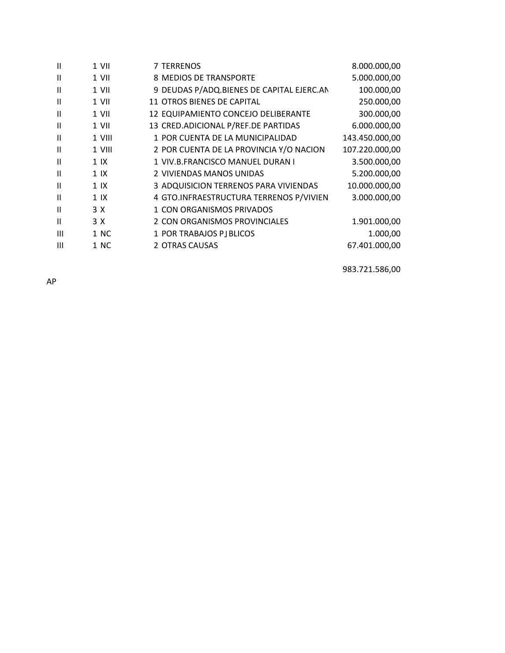| Ш            | 1 VII          | 7 TERRENOS                                | 8.000.000,00   |
|--------------|----------------|-------------------------------------------|----------------|
| Ш            | 1 VII          | 8 MEDIOS DE TRANSPORTE                    | 5.000.000,00   |
| Ш            | 1 VII          | 9 DEUDAS P/ADQ.BIENES DE CAPITAL EJERC.AN | 100.000,00     |
| Ш            | $1$ VII        | 11 OTROS BIENES DE CAPITAL                | 250.000,00     |
| Ш            | $1$ VII        | 12 EQUIPAMIENTO CONCEJO DELIBERANTE       | 300.000,00     |
| Ш            | 1 VII          | 13 CRED.ADICIONAL P/REF.DE PARTIDAS       | 6.000.000,00   |
| Ш            | 1 VIII         | 1 POR CUENTA DE LA MUNICIPALIDAD          | 143.450.000,00 |
| Ш            | 1 VIII         | 2 POR CUENTA DE LA PROVINCIA Y/O NACION   | 107.220.000,00 |
| $\mathbf{H}$ | 1 <sup>K</sup> | 1 VIV.B.FRANCISCO MANUEL DURAN I          | 3.500.000,00   |
| Ш            | 1 <sup>K</sup> | 2 VIVIENDAS MANOS UNIDAS                  | 5.200.000,00   |
| Ш            | 1 <sup>1</sup> | 3 ADQUISICION TERRENOS PARA VIVIENDAS     | 10.000.000,00  |
| $\mathbf{H}$ | 1 <sup>K</sup> | 4 GTO.INFRAESTRUCTURA TERRENOS P/VIVIEN   | 3.000.000,00   |
| $\mathbf{I}$ | 3 X            | 1 CON ORGANISMOS PRIVADOS                 |                |
| $\mathbf{H}$ | 3 X            | 2 CON ORGANISMOS PROVINCIALES             | 1.901.000,00   |
| Ш            | 1 NC           | 1 POR TRABAJOS PJ BLICOS                  | 1.000,00       |
| Ш            | 1 NC           | 2 OTRAS CAUSAS                            | 67.401.000,00  |
|              |                |                                           |                |

983.721.586,00

AP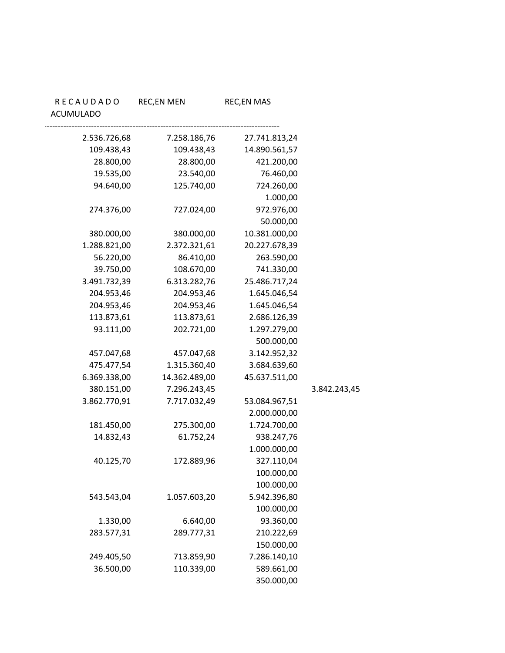|              | <b>REC,EN MAS</b> | <b>REC,EN MEN</b> | <b>RECAUDADO</b><br>ACUMULADO |
|--------------|-------------------|-------------------|-------------------------------|
|              | 27.741.813,24     | 7.258.186,76      | 2.536.726,68                  |
|              | 14.890.561,57     | 109.438,43        | 109.438,43                    |
|              | 421.200,00        | 28.800,00         | 28.800,00                     |
|              | 76.460,00         | 23.540,00         | 19.535,00                     |
|              | 724.260,00        | 125.740,00        | 94.640,00                     |
|              | 1.000,00          |                   |                               |
|              | 972.976,00        | 727.024,00        | 274.376,00                    |
|              | 50.000,00         |                   |                               |
|              | 10.381.000,00     | 380.000,00        | 380.000,00                    |
|              | 20.227.678,39     | 2.372.321,61      | 1.288.821,00                  |
|              | 263.590,00        | 86.410,00         | 56.220,00                     |
|              | 741.330,00        | 108.670,00        | 39.750,00                     |
|              | 25.486.717,24     | 6.313.282,76      | 3.491.732,39                  |
|              | 1.645.046,54      | 204.953,46        | 204.953,46                    |
|              | 1.645.046,54      | 204.953,46        | 204.953,46                    |
|              | 2.686.126,39      | 113.873,61        | 113.873,61                    |
|              | 1.297.279,00      | 202.721,00        | 93.111,00                     |
|              | 500.000,00        |                   |                               |
|              | 3.142.952,32      | 457.047,68        | 457.047,68                    |
|              | 3.684.639,60      | 1.315.360,40      | 475.477,54                    |
|              | 45.637.511,00     | 14.362.489,00     | 6.369.338,00                  |
| 3.842.243,45 |                   | 7.296.243,45      | 380.151,00                    |
|              | 53.084.967,51     | 7.717.032,49      | 3.862.770,91                  |
|              | 2.000.000,00      |                   |                               |
|              | 1.724.700,00      | 275.300,00        | 181.450,00                    |
|              | 938.247,76        | 61.752,24         | 14.832,43                     |
|              | 1.000.000,00      |                   |                               |
|              | 327.110,04        | 172.889,96        | 40.125,70                     |
|              | 100.000,00        |                   |                               |
|              | 100.000,00        |                   |                               |
|              | 5.942.396,80      | 1.057.603,20      | 543.543,04                    |
|              | 100.000,00        |                   |                               |
|              | 93.360,00         | 6.640,00          | 1.330,00                      |
|              | 210.222,69        | 289.777,31        | 283.577,31                    |
|              | 150.000,00        |                   |                               |
|              | 7.286.140,10      | 713.859,90        | 249.405,50                    |
|              | 589.661,00        | 110.339,00        | 36.500,00                     |
|              | 350.000,00        |                   |                               |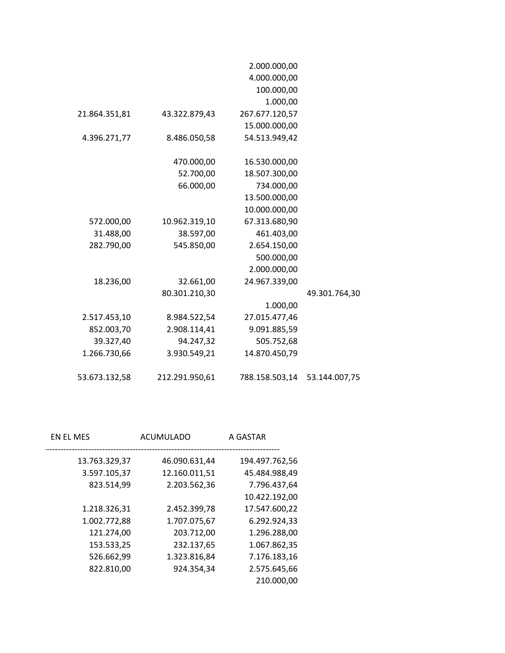|               | 2.000.000,00   |                |               |
|---------------|----------------|----------------|---------------|
|               | 4.000.000,00   |                |               |
|               | 100.000,00     |                |               |
|               | 1.000,00       |                |               |
|               | 267.677.120,57 | 43.322.879,43  | 21.864.351,81 |
|               | 15.000.000,00  |                |               |
|               | 54.513.949,42  | 8.486.050,58   | 4.396.271,77  |
|               |                |                |               |
|               | 16.530.000,00  | 470.000,00     |               |
|               | 18.507.300,00  | 52.700,00      |               |
|               | 734.000,00     | 66.000,00      |               |
|               | 13.500.000,00  |                |               |
|               | 10.000.000,00  |                |               |
|               | 67.313.680,90  | 10.962.319,10  | 572.000,00    |
|               | 461.403,00     | 38.597,00      | 31.488,00     |
|               | 2.654.150,00   | 545.850,00     | 282.790,00    |
|               | 500.000,00     |                |               |
|               | 2.000.000,00   |                |               |
|               | 24.967.339,00  | 32.661,00      | 18.236,00     |
| 49.301.764,30 |                | 80.301.210,30  |               |
|               | 1.000,00       |                |               |
|               | 27.015.477,46  | 8.984.522,54   | 2.517.453,10  |
|               | 9.091.885,59   | 2.908.114,41   | 852.003,70    |
|               | 505.752,68     | 94.247,32      | 39.327,40     |
|               | 14.870.450,79  | 3.930.549,21   | 1.266.730,66  |
|               |                |                |               |
| 53.144.007,75 | 788.158.503,14 | 212.291.950,61 | 53.673.132,58 |

| EN EL MES<br>ACUMULADO         | A GASTAR       |
|--------------------------------|----------------|
| 13.763.329,37<br>46.090.631,44 | 194.497.762,56 |
| 3.597.105,37<br>12.160.011,51  | 45.484.988,49  |
| 823.514,99<br>2.203.562,36     | 7.796.437,64   |
|                                | 10.422.192,00  |
| 1.218.326,31<br>2.452.399,78   | 17.547.600,22  |
| 1.002.772,88<br>1.707.075,67   | 6.292.924,33   |
| 121.274,00<br>203.712,00       | 1.296.288,00   |
| 153.533,25<br>232.137,65       | 1.067.862,35   |
| 526.662,99<br>1.323.816,84     | 7.176.183,16   |
| 822.810,00<br>924.354,34       | 2.575.645,66   |
|                                | 210.000,00     |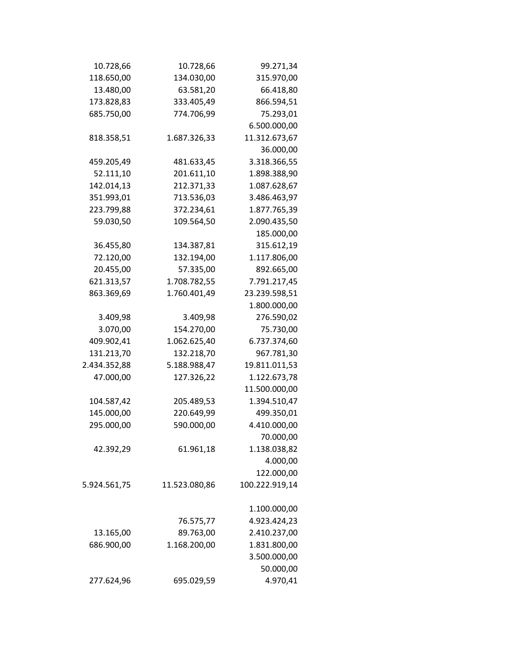| 10.728,66    | 10.728,66     | 99.271,34      |
|--------------|---------------|----------------|
| 118.650,00   | 134.030,00    | 315.970,00     |
| 13.480,00    | 63.581,20     | 66.418,80      |
| 173.828,83   | 333.405,49    | 866.594,51     |
| 685.750,00   | 774.706,99    | 75.293,01      |
|              |               | 6.500.000,00   |
| 818.358,51   | 1.687.326,33  | 11.312.673,67  |
|              |               | 36.000,00      |
| 459.205,49   | 481.633,45    | 3.318.366,55   |
| 52.111,10    | 201.611,10    | 1.898.388,90   |
| 142.014,13   | 212.371,33    | 1.087.628,67   |
| 351.993,01   | 713.536,03    | 3.486.463,97   |
| 223.799,88   | 372.234,61    | 1.877.765,39   |
| 59.030,50    | 109.564,50    | 2.090.435,50   |
|              |               | 185.000,00     |
| 36.455,80    | 134.387,81    | 315.612,19     |
| 72.120,00    | 132.194,00    | 1.117.806,00   |
| 20.455,00    | 57.335,00     | 892.665,00     |
| 621.313,57   | 1.708.782,55  | 7.791.217,45   |
| 863.369,69   | 1.760.401,49  | 23.239.598,51  |
|              |               | 1.800.000,00   |
| 3.409,98     | 3.409,98      | 276.590,02     |
| 3.070,00     | 154.270,00    | 75.730,00      |
| 409.902,41   | 1.062.625,40  | 6.737.374,60   |
| 131.213,70   | 132.218,70    | 967.781,30     |
| 2.434.352,88 | 5.188.988,47  | 19.811.011,53  |
| 47.000,00    | 127.326,22    | 1.122.673,78   |
|              |               | 11.500.000,00  |
| 104.587,42   | 205.489,53    | 1.394.510,47   |
| 145.000,00   | 220.649,99    | 499.350,01     |
| 295.000,00   | 590.000,00    | 4.410.000,00   |
|              |               | 70.000,00      |
| 42.392,29    | 61.961,18     | 1.138.038,82   |
|              |               | 4.000,00       |
|              |               | 122.000,00     |
| 5.924.561,75 | 11.523.080,86 | 100.222.919,14 |
|              |               | 1.100.000,00   |
|              | 76.575,77     | 4.923.424,23   |
| 13.165,00    | 89.763,00     | 2.410.237,00   |
| 686.900,00   | 1.168.200,00  | 1.831.800,00   |
|              |               | 3.500.000,00   |
|              |               | 50.000,00      |
| 277.624,96   | 695.029,59    | 4.970,41       |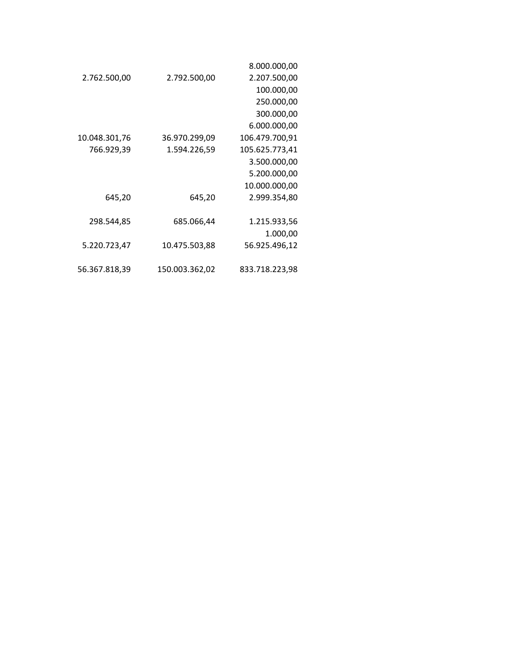|               |                | 8.000.000,00   |
|---------------|----------------|----------------|
| 2.762.500,00  | 2.792.500,00   | 2.207.500,00   |
|               |                | 100.000,00     |
|               |                | 250.000,00     |
|               |                | 300.000,00     |
|               |                | 6.000.000,00   |
| 10.048.301,76 | 36.970.299,09  | 106.479.700,91 |
| 766.929,39    | 1.594.226,59   | 105.625.773,41 |
|               |                | 3.500.000,00   |
|               |                | 5.200.000,00   |
|               |                | 10.000.000,00  |
| 645,20        | 645,20         | 2.999.354,80   |
|               |                |                |
| 298.544,85    | 685.066,44     | 1.215.933,56   |
|               |                | 1.000,00       |
| 5.220.723,47  | 10.475.503,88  | 56.925.496,12  |
|               |                |                |
| 56.367.818,39 | 150.003.362,02 | 833.718.223,98 |